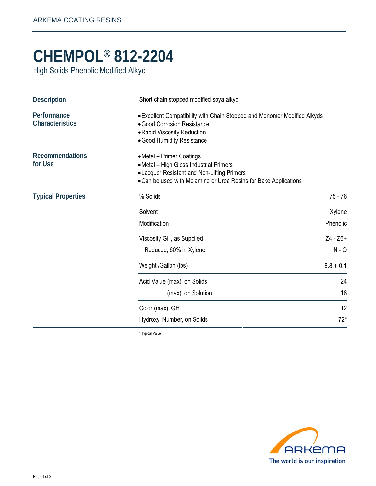## **CHEMPOL® 812-2204**

High Solids Phenolic Modified Alkyd

| <b>Description</b>                    | Short chain stopped modified soya alkyd                                                                                                                                                 |             |
|---------------------------------------|-----------------------------------------------------------------------------------------------------------------------------------------------------------------------------------------|-------------|
| Performance<br><b>Characteristics</b> | • Excellent Compatibility with Chain Stopped and Monomer Modified Alkyds<br>• Good Corrosion Resistance<br>• Rapid Viscosity Reduction<br>• Good Humidity Resistance                    |             |
| <b>Recommendations</b><br>for Use     | • Metal – Primer Coatings<br>• Metal - High Gloss Industrial Primers<br>• Lacquer Resistant and Non-Lifting Primers<br>• Can be used with Melamine or Urea Resins for Bake Applications |             |
| <b>Typical Properties</b>             | % Solids                                                                                                                                                                                | $75 - 76$   |
|                                       | Solvent                                                                                                                                                                                 | Xylene      |
|                                       | Modification                                                                                                                                                                            | Phenolic    |
|                                       | Viscosity GH, as Supplied                                                                                                                                                               | Z4 - Z6+    |
|                                       | Reduced, 60% in Xylene                                                                                                                                                                  | $N - Q$     |
|                                       | Weight /Gallon (lbs)                                                                                                                                                                    | $8.8\pm0.1$ |
|                                       | Acid Value (max), on Solids                                                                                                                                                             | 24          |
|                                       | (max), on Solution                                                                                                                                                                      | 18          |
|                                       | Color (max), GH                                                                                                                                                                         | 12          |
|                                       | Hydroxyl Number, on Solids                                                                                                                                                              | $72*$       |

\* Typical Value